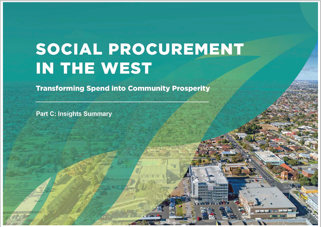# SOCIAL PROCUREMENT IN THE WEST

| 1

**Transforming Spend into Community Prosperity** 

**Part C: Insights Summary**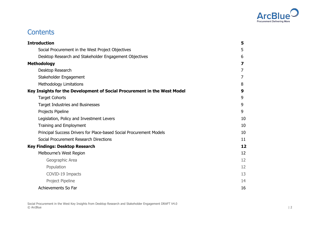

# **Contents**

| <b>Introduction</b>                                                      | 5  |
|--------------------------------------------------------------------------|----|
| Social Procurement in the West Project Objectives                        | 5  |
| Desktop Research and Stakeholder Engagement Objectives                   | 6  |
| <b>Methodology</b>                                                       | 7  |
| Desktop Research                                                         | 7  |
| Stakeholder Engagement                                                   | 7  |
| <b>Methodology Limitations</b>                                           | 8  |
| Key Insights for the Development of Social Procurement in the West Model | 9  |
| <b>Target Cohorts</b>                                                    | 9  |
| <b>Target Industries and Businesses</b>                                  | 9  |
| Projects Pipeline                                                        | 9  |
| Legislation, Policy and Investment Levers                                | 10 |
| Training and Employment                                                  | 10 |
| Principal Success Drivers for Place-based Social Procurement Models      | 10 |
| Social Procurement Research Directions                                   | 11 |
| <b>Key Findings: Desktop Research</b>                                    | 12 |
| Melbourne's West Region                                                  | 12 |
| Geographic Area                                                          | 12 |
| Population                                                               | 12 |
| COVID-19 Impacts                                                         | 13 |
| Project Pipeline                                                         | 14 |
| Achievements So Far                                                      | 16 |

Social Procurement in the West Key Insights from Desktop Research and Stakeholder Engagement DRAFT V4.0 © ArcBlue | 2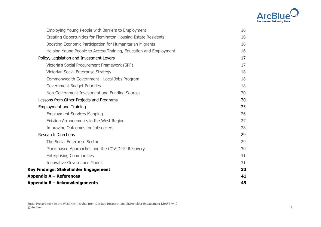

| Employing Young People with Barriers to Employment                | 16 |
|-------------------------------------------------------------------|----|
| Creating Opportunities for Flemington Housing Estate Residents    | 16 |
| Boosting Economic Participation for Humanitarian Migrants         | 16 |
| Helping Young People to Access Training, Education and Employment | 16 |
| Policy, Legislation and Investment Levers                         | 17 |
| Victoria's Social Procurement Framework (SPF)                     | 17 |
| Victorian Social Enterprise Strategy                              | 18 |
| Commonwealth Government - Local Jobs Program                      | 18 |
| Government Budget Priorities                                      | 18 |
| Non-Government Investment and Funding Sources                     | 20 |
| Lessons from Other Projects and Programs                          | 20 |
| <b>Employment and Training</b>                                    | 25 |
| <b>Employment Services Mapping</b>                                | 26 |
| Existing Arrangements in the West Region                          | 27 |
| <b>Improving Outcomes for Jobseekers</b>                          | 28 |
| <b>Research Directions</b>                                        | 29 |
| The Social Enterprise Sector                                      | 29 |
| Place-based Approaches and the COVID-19 Recovery                  | 30 |
| <b>Enterprising Communities</b>                                   | 31 |
| <b>Innovative Governance Models</b>                               | 31 |
| Key Findings: Stakeholder Engagement                              | 33 |
| <b>Appendix A – References</b>                                    | 41 |
| Appendix B - Acknowledgements                                     | 49 |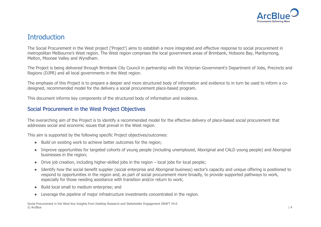

## **Introduction**

The Social Procurement in the West project ('Project') aims to establish a more integrated and effective response to social procurement in metropolitan Melbourne's West region. The West region comprises the local government areas of Brimbank, Hobsons Bay, Maribyrnong, Melton, Moonee Valley and Wyndham.

The Project is being delivered through Brimbank City Council in partnership with the Victorian Government's Department of Jobs, Precincts and Regions (DJPR) and all local governments in the West region.

The emphasis of this Project is to prepare a deeper and more structured body of information and evidence to in turn be used to inform a codesigned, recommended model for the delivery a social procurement place-based program.

This document informs key components of the structured body of information and evidence.

## Social Procurement in the West Project Objectives

The overarching aim of the Project is to identify a recommended model for the effective delivery of place-based social procurement that addresses social and economic issues that prevail in the West region.

This aim is supported by the following specific Project objectives/outcomes:

- Build on existing work to achieve better outcomes for the region;
- Improve opportunities for targeted cohorts of young people (including unemployed, Aboriginal and CALD young people) and Aboriginal businesses in the region;
- Drive job creation, including higher-skilled jobs in the region local jobs for local people;
- Identify how the social benefit supplier (social enterprise and Aboriginal business) sector's capacity and unique offering is positioned to respond to opportunities in the region and, as part of social procurement more broadly, to provide supported pathways to work, especially for those needing assistance with transition and/or return to work;
- Build local small to medium enterprise; and
- Leverage the pipeline of major infrastructure investments concentrated in the region.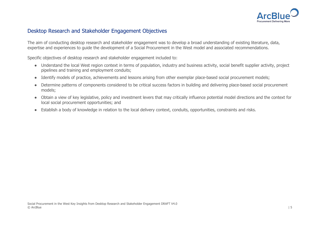

## Desktop Research and Stakeholder Engagement Objectives

The aim of conducting desktop research and stakeholder engagement was to develop a broad understanding of existing literature, data, expertise and experiences to guide the development of a Social Procurement in the West model and associated recommendations.

Specific objectives of desktop research and stakeholder engagement included to:

- Understand the local West region context in terms of population, industry and business activity, social benefit supplier activity, project pipelines and training and employment conduits;
- Identify models of practice, achievements and lessons arising from other exemplar place-based social procurement models;
- Determine patterns of components considered to be critical success factors in building and delivering place-based social procurement models;
- Obtain a view of key legislative, policy and investment levers that may critically influence potential model directions and the context for local social procurement opportunities; and
- Establish a body of knowledge in relation to the local delivery context, conduits, opportunities, constraints and risks.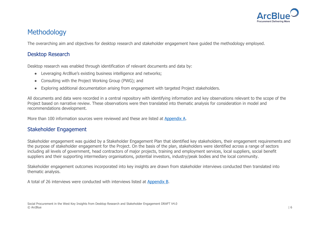

# **Methodology**

The overarching aim and objectives for desktop research and stakeholder engagement have guided the methodology employed.

## Desktop Research

Desktop research was enabled through identification of relevant documents and data by:

- Leveraging ArcBlue's existing business intelligence and networks;
- Consulting with the Project Working Group (PWG); and
- Exploring additional documentation arising from engagement with targeted Project stakeholders.

All documents and data were recorded in a central repository with identifying information and key observations relevant to the scope of the Project based on narrative review. These observations were then translated into thematic analysis for consideration in model and recommendations development.

More than 100 information sources were reviewed and these are listed at Appendix A.

## Stakeholder Engagement

Stakeholder engagement was guided by a Stakeholder Engagement Plan that identified key stakeholders, their engagement requirements and the purpose of stakeholder engagement for the Project. On the basis of the plan, stakeholders were identified across a range of sectors including all levels of government, head contractors of major projects, training and employment services, local suppliers, social benefit suppliers and their supporting intermediary organisations, potential investors, industry/peak bodies and the local community.

Stakeholder engagement outcomes incorporated into key insights are drawn from stakeholder interviews conducted then translated into thematic analysis.

A total of 26 interviews were conducted with interviews listed at Appendix B.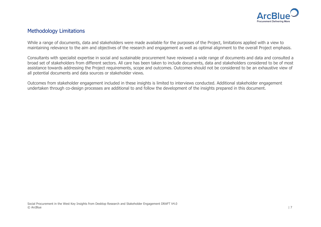

## Methodology Limitations

While a range of documents, data and stakeholders were made available for the purposes of the Project, limitations applied with a view to maintaining relevance to the aim and objectives of the research and engagement as well as optimal alignment to the overall Project emphasis.

Consultants with specialist expertise in social and sustainable procurement have reviewed a wide range of documents and data and consulted a broad set of stakeholders from different sectors. All care has been taken to include documents, data and stakeholders considered to be of most assistance towards addressing the Project requirements, scope and outcomes. Outcomes should not be considered to be an exhaustive view of all potential documents and data sources or stakeholder views.

Outcomes from stakeholder engagement included in these insights is limited to interviews conducted. Additional stakeholder engagement undertaken through co-design processes are additional to and follow the development of the insights prepared in this document.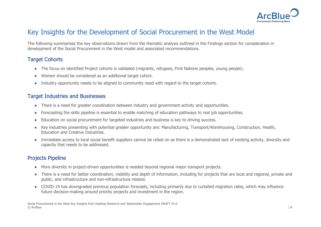

# Key Insights for the Development of Social Procurement in the West Model

The following summarises the key observations drawn from the thematic analysis outlined in the Findings section for consideration in development of the Social Procurement in the West model and associated recommendations.

## Target Cohorts

- The focus on identified Project cohorts is validated (migrants, refugees, First Nations peoples, young people).
- Women should be considered as an additional target cohort.
- Industry opportunity needs to be aligned to community need with regard to the target cohorts.

## Target Industries and Businesses

- There is a need for greater coordination between industry and government activity and opportunities.
- Forecasting the skills pipeline is essential to enable matching of education pathways to real job opportunities.
- Education on social procurement for targeted industries and business is key to driving success.
- Key industries presenting with potential greater opportunity are: Manufacturing, Transport/Warehousing, Construction, Health, Education and Creative Industries.
- Immediate access to local social benefit suppliers cannot be relied on as there is a demonstrated lack of existing activity, diversity and capacity that needs to be addressed.

## Projects Pipeline

- More diversity in project-driven opportunities is needed beyond regional major transport projects.
- There is a need for better coordination, visibility and depth of information, including for projects that are local and regional, private and public, and infrastructure and non-infrastructure related.
- COVID-19 has downgraded previous population forecasts, including primarily due to curtailed migration rates, which may influence future decision-making around priority projects and investment in the region.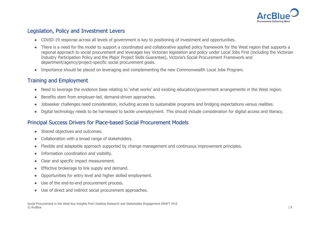

## Legislation, Policy and Investment Levers

- COVID-19 response across all levels of government is key to positioning of investment and opportunities.
- There is a need for the model to support a coordinated and collaborative applied policy framework for the West region that supports a regional approach to social procurement and leverages key Victorian legislation and policy under Local Jobs First (including the Victorian Industry Participation Policy and the Major Project Skills Guarantee), Victoria's Social Procurement Framework and department/agency/project-specific social procurement goals.
- Importance should be placed on leveraging and complementing the new Commonwealth Local Jobs Program.

## Training and Employment

- Need to leverage the evidence base relating to 'what works' and existing education/government arrangements in the West region.
- Benefits stem from employer-led, demand-driven approaches.
- Jobseeker challenges need consideration, including access to sustainable programs and bridging expectations versus realities.
- Digital technology needs to be harnessed to tackle unemployment. This should include consideration for digital access and literacy.

## Principal Success Drivers for Place-based Social Procurement Models

- Shared objectives and outcomes.
- Collaboration with a broad range of stakeholders.
- Flexible and adaptable approach supported by change management and continuous improvement principles.
- Information coordination and visibility.
- Clear and specific impact measurement.
- Effective brokerage to link supply and demand.
- Opportunities for entry level and higher skilled employment.
- Use of the end-to-end procurement process.
- Use of direct and indirect social procurement approaches.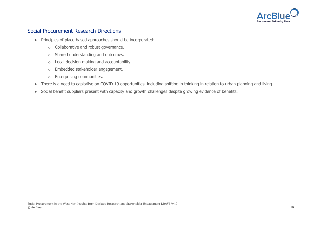

## Social Procurement Research Directions

- Principles of place-based approaches should be incorporated:
	- o Collaborative and robust governance.
	- o Shared understanding and outcomes.
	- o Local decision-making and accountability.
	- o Embedded stakeholder engagement.
	- o Enterprising communities.
- There is a need to capitalise on COVID-19 opportunities, including shifting in thinking in relation to urban planning and living.
- Social benefit suppliers present with capacity and growth challenges despite growing evidence of benefits.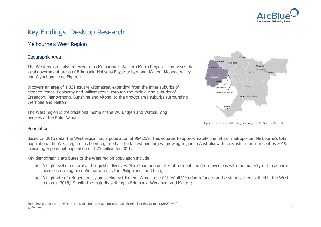

# Key Findings: Desktop Research

## Melbourne's West Region

#### Geographic Area

The West region – also referred to as Melbourne's Western Metro Region – comprises the local government areas of Brimbank, Hobsons Bay, Maribyrnong, Melton, Moonee Valley and Wyndham – see Figure 1.

It covers an area of 1,331 square kilometres, extending from the inner suburbs of Moonee Ponds, Footscray and Williamstown, through the middle-ring suburbs of Essendon, Maribyrnong, Sunshine and Altona, to the growth area suburbs surrounding Werribee and Melton.

The West region is the traditional home of the Wurundjeri and Wathaurong peoples of the Kulin Nation.



Figure 1: Melbourne's West region (Image credit: State of Victoria)

#### Population

Based on 2016 data, the West region has a population of 964,259. This equates to approximately one fifth of metropolitan Melbourne's total population. The West region has been regarded as the fastest and largest growing region in Australia with forecasts from as recent as 2019 indicating a potential population of 1.75 million by 2051.

Key demographic attributes of the West region population include:

- A high level of cultural and linguistic diversity. More than one quarter of residents are born overseas with the majority of those born overseas coming from Vietnam, India, the Philippines and China;
- A high rate of refugee an asylum seeker settlement. Almost one fifth of all Victorian refugees and asylum seekers settled in the West region in 2018/19, with the majority settling in Brimbank, Wyndham and Melton;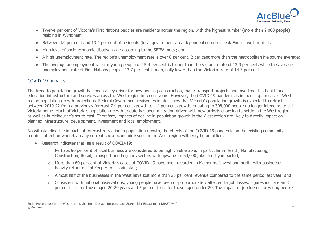

- Twelve per cent of Victoria's First Nations peoples are residents across the region, with the highest number (more than 2,000 people) residing in Wyndham;
- Between 4.9 per cent and 13.4 per cent of residents (local government area dependent) do not speak English well or at all;
- High level of socio-economic disadvantage according to the SEIFA index; and
- A high unemployment rate. The region's unemployment rate is over 8 per cent, 2 per cent more than the metropolitan Melbourne average;
- The average unemployment rate for young people of 15.4 per cent is higher than the Victorian rate of 13.9 per cent, while the average unemployment rate of First Nations peoples 13.7 per cent is marginally lower than the Victorian rate of 14.3 per cent.

#### COVID-19 Impacts

The trend to population growth has been a key driver for new housing construction, major transport projects and investment in health and education infrastructure and services across the West region in recent years. However, the COVID-19 pandemic is influencing a recast of West region population growth projections. Federal Government revised estimates show that Victoria's population growth is expected to retract between 2019-22 from a previously forecast 7.4 per cent growth to 1.4 per cent growth, equating to 398,000 people no longer intending to call Victoria home. Much of Victoria's population growth to date has been migration-driven with new arrivals choosing to settle in the West region as well as in Melbourne's south-east. Therefore, impacts of decline in population growth in the West region are likely to directly impact on planned infrastructure, development, investment and local employment.

Notwithstanding the impacts of forecast retraction in population growth, the effects of the COVID-19 pandemic on the existing community requires attention whereby many current socio-economic issues in the West region will likely be amplified.

- Research indicates that, as a result of COVID-19:
	- o Perhaps 90 per cent of local business are considered to be highly vulnerable, in particular in Health, Manufacturing, Construction, Retail, Transport and Logistics sectors with upwards of 60,000 jobs directly impacted;
	- o More than 60 per cent of Victoria's cases of COVID-19 have been recorded in Melbourne's west and north, with businesses heavily reliant on JobKeeper to sustain staff;
	- o Almost half of the businesses in the West have lost more than 25 per cent revenue compared to the same period last year; and
	- o Consistent with national observations, young people have been disproportionately affected by job losses. Figures indicate an 8 per cent loss for those aged 20-29 years and 5 per cent loss for those aged under 20. The impact of job losses for young people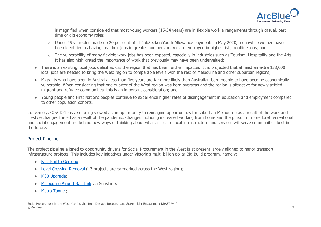

is magnified when considered that most young workers (15-34 years) are in flexible work arrangements through casual, part time or gig economy roles;

- o Under 25 year-olds made up 20 per cent of all JobSeeker/Youth Allowance payments in May 2020, meanwhile women have been identified as having lost their jobs in greater numbers and/or are employed in higher risk, frontline jobs; and
- o The vulnerability of many flexible work jobs has been exposed, especially in industries such as Tourism, Hospitality and the Arts. It has also highlighted the importance of work that previously may have been undervalued;
- There is an existing local jobs deficit across the region that has been further impacted. It is projected that at least an extra 138,000 local jobs are needed to bring the West region to comparable levels with the rest of Melbourne and other suburban regions;
- Migrants who have been in Australia less than five years are far more likely than Australian-born people to have become economically vulnerable. When considering that one quarter of the West region was born overseas and the region is attractive for newly settled migrant and refugee communities, this is an important consideration; and
- Young people and First Nations peoples continue to experience higher rates of disengagement in education and employment compared to other population cohorts.

Conversely, COVID-19 is also being viewed as an opportunity to reimagine opportunities for suburban Melbourne as a result of the work and lifestyle changes forced as a result of the pandemic. Changes including increased working from home and the pursuit of more local recreational and social engagement are behind new ways of thinking about what access to local infrastructure and services will serve communities best in the future.

#### Project Pipeline

The project pipeline aligned to opportunity drivers for Social Procurement in the West is at present largely aligned to major transport infrastructure projects. This includes key initiatives under Victoria's multi-billion dollar Big Build program, namely:

- Fast Rail to Geelong;
- Level Crossing Removal (13 projects are earmarked across the West region);
- M80 Upgrade:
- Melbourne Airport Rail Link via Sunshine;
- **Metro Tunnel;**

Social Procurement in the West Key Insights from Desktop Research and Stakeholder Engagement DRAFT V4.0 © ArcBlue | 13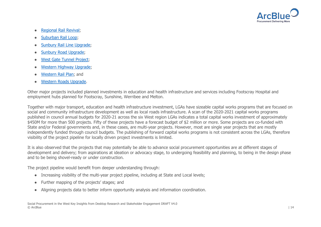

- **Regional Rail Revival:**
- Suburban Rail Loop;
- Sunbury Rail Line Upgrade;
- Sunbury Road Upgrade;
- West Gate Tunnel Project;
- Western Highway Upgrade:
- Western Rail Plan; and
- Western Roads Upgrade.

Other major projects included planned investments in education and health infrastructure and services including Footscray Hospital and employment hubs planned for Footscray, Sunshine, Werribee and Melton.

Together with major transport, education and health infrastructure investment, LGAs have sizeable capital works programs that are focused on social and community infrastructure development as well as local roads infrastructure. A scan of the 2020-2021 capital works programs published in council annual budgets for 2020-21 across the six West region LGAs indicates a total capital works investment of approximately \$450M for more than 500 projects. Fifty of these projects have a forecast budget of \$2 million or more. Some projects are co-funded with State and/or Federal governments and, in these cases, are multi-year projects. However, most are single year projects that are mostly independently funded through council budgets. The publishing of forward capital works programs is not consistent across the LGAs, therefore visibility of the project pipeline for locally driven project investments is limited.

It is also observed that the projects that may potentially be able to advance social procurement opportunities are at different stages of development and delivery; from aspirations at ideation or advocacy stage, to undergoing feasibility and planning, to being in the design phase and to be being shovel-ready or under construction.

The project pipeline would benefit from deeper understanding through:

- Increasing visibility of the multi-year project pipeline, including at State and Local levels;
- Further mapping of the projects' stages; and
- Aligning projects data to better inform opportunity analysis and information coordination.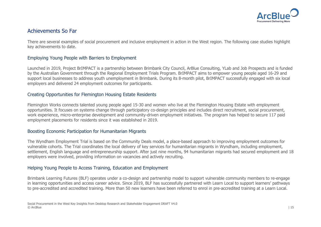

## Achievements So Far

There are several examples of social procurement and inclusive employment in action in the West region. The following case studies highlight key achievements to date.

#### Employing Young People with Barriers to Employment

Launched in 2019, Project BrIMPACT is a partnership between Brimbank City Council, ArBlue Consulting, YLab and Job Prospects and is funded by the Australian Government through the Regional Employment Trials Program. BrIMPACT aims to empower young people aged 16-29 and support local businesses to address youth unemployment in Brimbank. During its 8-month pilot, BrIMPACT successfully engaged with six local employers and delivered 24 employment outcomes for participants.

#### Creating Opportunities for Flemington Housing Estate Residents

Flemington Works connects talented young people aged 15-30 and women who live at the Flemington Housing Estate with employment opportunities. It focuses on systems change through participatory co-design principles and includes direct recruitment, social procurement, work experience, micro-enterprise development and community-driven employment initiatives. The program has helped to secure 117 paid employment placements for residents since it was established in 2019.

#### Boosting Economic Participation for Humanitarian Migrants

The Wyndham Employment Trial is based on the Community Deals model, a place-based approach to improving employment outcomes for vulnerable cohorts. The Trial coordinates the local delivery of key services for humanitarian migrants in Wyndham, including employment, settlement, English language and entrepreneurship support. After just nine months, 94 humanitarian migrants had secured employment and 18 employers were involved, providing information on vacancies and actively recruiting.

#### Helping Young People to Access Training, Education and Employment

Brimbank Learning Futures (BLF) operates under a co-design and partnership model to support vulnerable community members to re-engage in learning opportunities and access career advice. Since 2019, BLF has successfully partnered with Learn Local to support learners' pathways to pre-accredited and accredited training. More than 50 new learners have been referred to enrol in pre-accredited training at a Learn Local.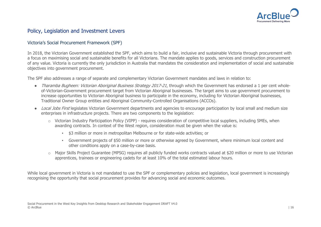

## Policy, Legislation and Investment Levers

#### Victoria's Social Procurement Framework (SPF)

In 2018, the Victorian Government established the SPF, which aims to build a fair, inclusive and sustainable Victoria through procurement with a focus on maximising social and sustainable benefits for all Victorians. The mandate applies to goods, services and construction procurement of any value. Victoria is currently the only jurisdiction in Australia that mandates the consideration and implementation of social and sustainable objectives into government procurement.

The SPF also addresses a range of separate and complementary Victorian Government mandates and laws in relation to:

- Tharamba Bugheen: Victorian Aboriginal Business Strategy 2017-21, through which the Government has endorsed a 1 per cent wholeof-Victorian-Government procurement target from Victorian Aboriginal businesses. The target aims to use government procurement to increase opportunities to Victorian Aboriginal business to participate in the economy, including for Victorian Aboriginal businesses, Traditional Owner Group entities and Aboriginal Community-Controlled Organisations (ACCOs).
- Local Jobs First legislates Victorian Government departments and agencies to encourage participation by local small and medium size enterprises in infrastructure projects. There are two components to the legislation:
	- o Victorian Industry Participation Policy (VIPP) requires consideration of competitive local suppliers, including SMEs, when awarding contracts. In context of the West region, consideration must be given when the value is:
		- \$3 million or more in metropolitan Melbourne or for state-wide activities; or
		- Government projects of \$50 million or more or otherwise agreed by Government, where minimum local content and other conditions apply on a case-by-case basis.
	- o Major Skills Project Guarantee (MPSG) requires all publicly funded works contracts valued at \$20 million or more to use Victorian apprentices, trainees or engineering cadets for at least 10% of the total estimated labour hours.

While local government in Victoria is not mandated to use the SPF or complementary policies and legislation, local government is increasingly recognising the opportunity that social procurement provides for advancing social and economic outcomes.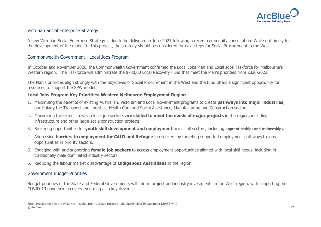

#### Victorian Social Enterprise Strategy

A new Victorian Social Enterprise Strategy is due to be delivered in June 2021 following a recent community consultation. While not timely for the development of the model for this project, the strategy should be considered for next steps for Social Procurement in the West.

#### Commonwealth Government - Local Jobs Program

In October and November 2020, the Commonwealth Government confirmed the Local Jobs Plan and Local Jobs Taskforce for Melbourne's Western region. The Taskforce will administrate the \$780,00 Local Recovery Fund that meet the Plan's priorities from 2020-2022.

The Plan's priorities align strongly with the objectives of Social Procurement in the West and the fund offers a significant opportunity for resources to support the SPW model.

#### **Local Jobs Program Key Priorities: Western Melbourne Employment Region**

- 1. Maximising the benefits of existing Australian, Victorian and Local Government programs to create **pathways into major industries**, particularly the Transport and Logistics, Health Care and Social Assistance, Manufacturing and Construction sectors.
- 2. Maximising the extent to which local job seekers **are skilled to meet the needs of major projects** in the region**,** including infrastructure and other large-scale construction projects.
- 3. Brokering opportunities for **youth skill development and employment** across all sectors, including **apprenticeships and traineeships.**
- 4. Addressing **barriers to employment for CALD and Refugee** job seekers by targeting supported employment pathways to jobs opportunities in priority sectors.
- 5. Engaging with and supporting **female job seekers** to access employment opportunities aligned with local skill needs, including in traditionally male dominated industry sectors.
- 6. Reducing the labour market disadvantage of **Indigenous Australians** in the region.

#### Government Budget Priorities

Budget priorities of the State and Federal Governments will inform project and industry investments in the West region, with supporting the COVID-19 pandemic recovery emerging as a key driver.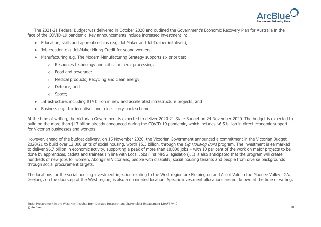

 The 2021-21 Federal Budget was delivered in October 2020 and outlined the Government's Economic Recovery Plan for Australia in the face of the COVID-19 pandemic. Key announcements include increased investment in:

- Education, skills and apprenticeships (e.g. JobMaker and JobTrainer initatives);
- Job creation e.g. JobMaker Hiring Credit for young workers;
- Manufacturing e.g. The Modern Manufacturing Strategy supports six priorities:
	- o Resources technology and critical mineral processing;
	- o Food and beverage;
	- o Medical products; Recycling and clean energy;
	- o Defence; and
	- o Space;
- Infrastructure, including \$14 billion in new and accelerated infrastructure projects; and
- Business e.g., tax incentives and a loss carry-back scheme.

At the time of writing, the Victorian Government is expected to deliver 2020-21 State Budget on 24 November 2020. The budget is expected to build on the more than \$13 billion already announced during the COVID-19 pandemic, which includes \$6.5 billion in direct economic support for Victorian businesses and workers.

However, ahead of the budget delivery, on 15 November 2020, the Victorian Government announced a commitment in the Victorian Budget 2020/21 to build over 12,000 units of social housing, worth \$5.3 billion, through the Big Housing Build program. The investment is earmarked to deliver \$6.7 billion in economic activity, supporting a peak of more than 18,000 jobs – with 10 per cent of the work on major projects to be done by apprentices, cadets and trainees (in line with Local Jobs First MPSG legislation). It is also anticipated that the program will create hundreds of new jobs for women, Aboriginal Victorians, people with disability, social housing tenants and people from diverse backgrounds through social procurement targets.

The locations for the social housing investment injection relating to the West region are Flemington and Ascot Vale in the Moonee Valley LGA. Geelong, on the doorstep of the West region, is also a nominated location. Specific investment allocations are not known at the time of writing.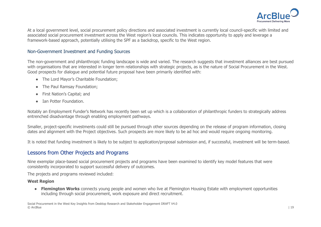

At a local government level, social procurement policy directions and associated investment is currently local council-specific with limited and associated social procurement investment across the West region's local councils. This indicates opportunity to apply and leverage a framework-based approach, potentially utilising the SPF as a backdrop, specific to the West region.

#### Non-Government Investment and Funding Sources

The non-government and philanthropic funding landscape is wide and varied. The research suggests that investment alliances are best pursued with organisations that are interested in longer term relationships with strategic projects, as is the nature of Social Procurement in the West. Good prospects for dialogue and potential future proposal have been primarily identified with:

- The Lord Mayor's Charitable Foundation;
- The Paul Ramsay Foundation;
- **First Nation's Capital; and**
- Tan Potter Foundation.

Notably an Employment Funder's Network has recently been set up which is a collaboration of philanthropic funders to strategically address entrenched disadvantage through enabling employment pathways.

Smaller, project-specific investments could still be pursued through other sources depending on the release of program information, closing dates and alignment with the Project objectives. Such prospects are more likely to be ad hoc and would require ongoing monitoring.

It is noted that funding investment is likely to be subject to application/proposal submission and, if successful, investment will be term-based.

### Lessons from Other Projects and Programs

Nine exemplar place-based social procurement projects and programs have been examined to identify key model features that were consistently incorporated to support successful delivery of outcomes.

The projects and programs reviewed included:

#### **West Region**

● **Flemington Works** connects young people and women who live at Flemington Housing Estate with employment opportunities including through social procurement, work exposure and direct recruitment.

Social Procurement in the West Key Insights from Desktop Research and Stakeholder Engagement DRAFT V4.0 © ArcBlue | 19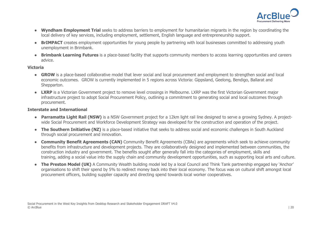

- **Wyndham Employment Trial** seeks to address barriers to employment for humanitarian migrants in the region by coordinating the local delivery of key services, including employment, settlement, English language and entrepreneurship support.
- **BrIMPACT** creates employment opportunities for young people by partnering with local businesses committed to addressing youth unemployment in Brimbank.
- **Brimbank Learning Futures** is a place-based facility that supports community members to access learning opportunities and careers advice.

#### **Victoria**

- **GROW** is a place-based collaborative model that lever social and local procurement and employment to strengthen social and local economic outcomes. GROW is currently implemented in 5 regions across Victoria: Gippsland, Geelong, Bendigo, Ballarat and Shepparton.
- **LXRP** is a Victorian Government project to remove level crossings in Melbourne. LXRP was the first Victorian Government major infrastructure project to adopt Social Procurement Policy, outlining a commitment to generating social and local outcomes through procurement.

#### **Interstate and International**

- **Parramatta Light Rail (NSW)** is a NSW Government project for a 12km light rail line designed to serve a growing Sydney. A projectwide Social Procurement and Workforce Development Strategy was developed for the construction and operation of the project.
- **The Southern Initiative (NZ)** is a place-based initiative that seeks to address social and economic challenges in South Auckland through social procurement and innovation.
- **Community Benefit Agreements (CAN)** Community Benefit Agreements (CBAs) are agreements which seek to achieve community benefits from infrastructure and development projects. They are collaboratively designed and implemented between communities, the construction industry and government. The benefits sought after generally fall into the categories of employment, skills and training, adding a social value into the supply chain and community development opportunities, such as supporting local arts and culture.
- The Preston Model (UK) A Community Wealth building model led by a local Council and Think Tank partnership engaged key 'Anchor' organisations to shift their spend by 5% to redirect money back into their local economy. The focus was on cultural shift amongst local procurement officers, building supplier capacity and directing spend towards local worker cooperatives.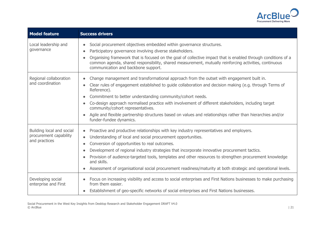

| <b>Model feature</b>                                                 | <b>Success drivers</b>                                                                                                                                                                                                                                                                                                                                                                                                                                                                                                                                                 |
|----------------------------------------------------------------------|------------------------------------------------------------------------------------------------------------------------------------------------------------------------------------------------------------------------------------------------------------------------------------------------------------------------------------------------------------------------------------------------------------------------------------------------------------------------------------------------------------------------------------------------------------------------|
| Local leadership and<br>governance                                   | Social procurement objectives embedded within governance structures.<br>Participatory governance involving diverse stakeholders.<br>Organising framework that is focused on the goal of collective impact that is enabled through conditions of a<br>common agenda, shared responsibility, shared measurement, mutually reinforcing activities, continuous<br>communication and backbone support.                                                                                                                                                                      |
| Regional collaboration<br>and coordination                           | Change management and transformational approach from the outset with engagement built in.<br>Clear rules of engagement established to guide collaboration and decision making (e.g. through Terms of<br>Reference).<br>Commitment to better understanding community/cohort needs.<br>Co-design approach normalised practice with involvement of different stakeholders, including target<br>community/cohort representatives.<br>Agile and flexible partnership structures based on values and relationships rather than hierarchies and/or<br>funder-fundee dynamics. |
| Building local and social<br>procurement capability<br>and practices | Proactive and productive relationships with key industry representatives and employers.<br>$\bullet$<br>Understanding of local and social procurement opportunities.<br>Conversion of opportunities to real outcomes.<br>Development of regional industry strategies that incorporate innovative procurement tactics.<br>Provision of audience-targeted tools, templates and other resources to strengthen procurement knowledge<br>and skills.<br>Assessment of organisational social procurement readiness/maturity at both strategic and operational levels.        |
| Developing social<br>enterprise and First                            | Focus on increasing visibility and access to social enterprises and First Nations businesses to make purchasing<br>from them easier.<br>Establishment of geo-specific networks of social enterprises and First Nations businesses.                                                                                                                                                                                                                                                                                                                                     |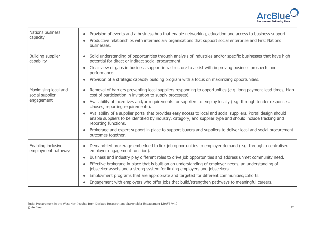

| <b>Nations business</b><br>capacity                   | Provision of events and a business hub that enable networking, education and access to business support.<br>Productive relationships with intermediary organisations that support social enterprise and First Nations<br>businesses.                                                                                                                                                                                                                                                                                                                                                                                                                                                                                               |
|-------------------------------------------------------|------------------------------------------------------------------------------------------------------------------------------------------------------------------------------------------------------------------------------------------------------------------------------------------------------------------------------------------------------------------------------------------------------------------------------------------------------------------------------------------------------------------------------------------------------------------------------------------------------------------------------------------------------------------------------------------------------------------------------------|
| <b>Building supplier</b><br>capability                | Solid understanding of opportunities through analysis of industries and/or specific businesses that have high<br>potential for direct or indirect social procurement.<br>Clear view of gaps in business support infrastructure to assist with improving business prospects and<br>performance.<br>Provision of a strategic capacity building program with a focus on maximizing opportunities.                                                                                                                                                                                                                                                                                                                                     |
| Maximising local and<br>social supplier<br>engagement | Removal of barriers preventing local suppliers responding to opportunities (e.g. long payment lead times, high<br>cost of participation in invitation to supply processes).<br>Availability of incentives and/or requirements for suppliers to employ locally (e.g. through tender responses,<br>clauses, reporting requirements).<br>Availability of a supplier portal that provides easy access to local and social suppliers. Portal design should<br>enable suppliers to be identified by industry, category, and supplier type and should include tracking and<br>reporting functions.<br>Brokerage and expert support in place to support buyers and suppliers to deliver local and social procurement<br>outcomes together. |
| Enabling inclusive<br>employment pathways             | Demand-led brokerage embedded to link job opportunities to employer demand (e.g. through a centralised<br>employer engagement function).<br>Business and industry play different roles to drive job opportunities and address unmet community need.<br>$\bullet$<br>Effective brokerage in place that is built on an understanding of employer needs, an understanding of<br>jobseeker assets and a strong system for linking employers and jobseekers.<br>Employment programs that are appropriate and targeted for different communities/cohorts.<br>Engagement with employers who offer jobs that build/strengthen pathways to meaningful careers.                                                                              |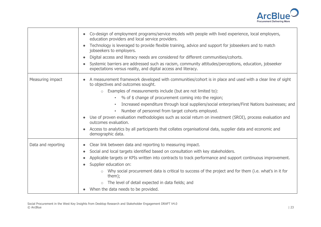

|                    | Co-design of employment programs/service models with people with lived experience, local employers,<br>$\bullet$<br>education providers and local service providers.<br>Technology is leveraged to provide flexible training, advice and support for jobseekers and to match<br>$\bullet$<br>jobseekers to employers.<br>Digital access and literacy needs are considered for different communities/cohorts.<br>$\bullet$<br>Systemic barriers are addressed such as racism, community attitudes/perceptions, education, jobseeker<br>$\bullet$<br>expectations versus reality, and digital access and literacy.                                                                                                                                        |
|--------------------|---------------------------------------------------------------------------------------------------------------------------------------------------------------------------------------------------------------------------------------------------------------------------------------------------------------------------------------------------------------------------------------------------------------------------------------------------------------------------------------------------------------------------------------------------------------------------------------------------------------------------------------------------------------------------------------------------------------------------------------------------------|
| Measuring impact   | A measurement framework developed with communities/cohort is in place and used with a clear line of sight<br>to objectives and outcomes sought.<br>Examples of measurements include (but are not limited to):<br>$\circ$<br>• % of \$ change of procurement coming into the region;<br>Increased expenditure through local suppliers/social enterprises/First Nations businesses; and<br>٠,<br>Number of personnel from target cohorts employed.<br>×.<br>Use of proven evaluation methodologies such as social return on investment (SROI), process evaluation and<br>$\bullet$<br>outcomes evaluation.<br>Access to analytics by all participants that collates organisational data, supplier data and economic and<br>$\bullet$<br>demographic data. |
| Data and reporting | Clear link between data and reporting to measuring impact.<br>$\bullet$<br>Social and local targets identified based on consultation with key stakeholders.<br>$\bullet$<br>Applicable targets or KPIs written into contracts to track performance and support continuous improvement.<br>$\bullet$<br>Supplier education on:<br>$\bullet$<br>Why social procurement data is critical to success of the project and for them (i.e. what's in it for<br>$\circ$<br>them);<br>The level of detail expected in data fields; and<br>$\circ$<br>When the data needs to be provided.                                                                                                                                                                          |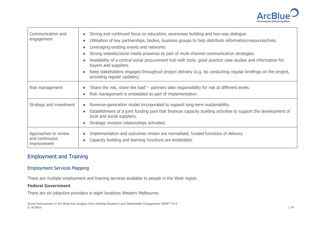

| Communication and<br>engagement                              | Strong and continued focus on education, awareness building and two-way dialogue.<br>$\bullet$<br>Utilisation of key partnerships, bodies, business groups to help distribute information/resources/links.<br>$\bullet$<br>Leveraging existing events and networks.<br>$\bullet$<br>Strong website/social media presence as part of multi-channel communication strategies.<br>$\bullet$<br>Availability of a central social procurement hub with tools, good practice case studies and information for<br>$\bullet$<br>buyers and suppliers.<br>Keep stakeholders engaged throughout project delivery (e.g. by conducting regular briefings on the project,<br>$\bullet$<br>providing regular updates). |
|--------------------------------------------------------------|----------------------------------------------------------------------------------------------------------------------------------------------------------------------------------------------------------------------------------------------------------------------------------------------------------------------------------------------------------------------------------------------------------------------------------------------------------------------------------------------------------------------------------------------------------------------------------------------------------------------------------------------------------------------------------------------------------|
| Risk management                                              | 'Share the risk, share the load' – partners take responsibility for risk at different levels.<br>$\bullet$<br>Risk management is embedded as part of implementation.<br>$\bullet$                                                                                                                                                                                                                                                                                                                                                                                                                                                                                                                        |
| Strategy and investment                                      | Revenue-generation model incorporated to support long-term sustainability.<br>$\bullet$<br>Establishment of a joint funding pool that finances capacity building activities to support the development of<br>$\bullet$<br>local and social suppliers.<br>Strategic investor relationships activated.<br>$\bullet$                                                                                                                                                                                                                                                                                                                                                                                        |
| Approaches to review<br>and continuous<br><i>improvement</i> | Implementation and outcomes review are normalised, funded functions of delivery.<br>$\bullet$<br>Capacity building and learning functions are embedded.<br>$\bullet$                                                                                                                                                                                                                                                                                                                                                                                                                                                                                                                                     |

## Employment and Training

#### Employment Services Mapping

There are multiple employment and training services available to people in the West region.

#### **Federal Government**

There are six jobactive providers in eight locations Western Melbourne:

Social Procurement in the West Key Insights from Desktop Research and Stakeholder Engagement DRAFT V4.0 © ArcBlue | 24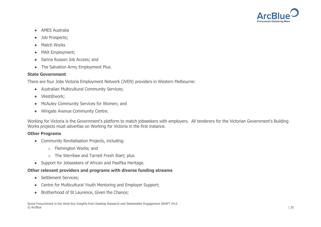

- AMES Australia
- Job Prospects;
- Match Works
- MAX Employment;
- Sarina Russon Job Access; and
- The Salvation Army Employment Plus.

#### **State Government**

There are four Jobs Victoria Employment Network (JVEN) providers in Western Melbourne:

- Australian Multicultural Community Services;
- West@work;
- McAuley Community Services for Women; and
- Wingate Avenue Community Centre.

Working for Victoria is the Government's platform to match jobseekers with employers. All tenderers for the Victorian Government's Building Works projects must advertise on Working for Victoria in the first instance.

#### **Other Programs**

- Community Revitalisation Projects, including:
	- o Flemington Works; and
	- o The Werribee and Tarneit Fresh Start; plus
- Support for Jobseekers of African and Pasifika Heritage.

#### **Other relevant providers and programs with diverse funding streams**

- Settlement Services;
- Centre for Multicultural Youth Mentoring and Employer Support;
- Brotherhood of St Laurence, Given the Chance;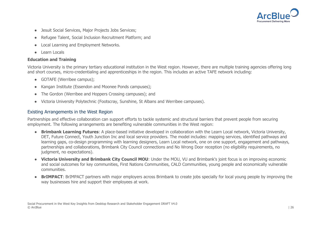

- Jesuit Social Services, Major Projects Jobs Services;
- Refugee Talent, Social Inclusion Recruitment Platform; and
- **Local Learning and Employment Networks.**
- Learn Locals

#### **Education and Training**

Victoria University is the primary tertiary educational institution in the West region. However, there are multiple training agencies offering long and short courses, micro-credentialing and apprenticeships in the region. This includes an active TAFE network including:

- GOTAFE (Werribee campus);
- Kangan Institute (Essendon and Moonee Ponds campuses);
- The Gordon (Werribee and Hoppers Crossing campuses); and
- Victoria University Polytechnic (Footscray, Sunshine, St Albans and Werribee campuses).

#### Existing Arrangements in the West Region

Partnerships and effective collaboration can support efforts to tackle systemic and structural barriers that prevent people from securing employment. The following arrangements are benefiting vulnerable communities in the West region:

- **Brimbank Learning Futures**: A place-based initiative developed in collaboration with the Learn Local network, Victoria University, DET, Future Connect, Youth Junction Inc and local service providers. The model includes: mapping services, identified pathways and learning gaps, co-design programming with learning designers, Learn Local network, one on one support, engagement and pathways, partnerships and collaborations, Brimbank City Council connections and No Wrong Door reception (no eligibility requirements, no judgment, no expectations).
- **Victoria University and Brimbank City Council MOU**: Under the MOU, VU and Brimbank's joint focus is on improving economic and social outcomes for key communities, First Nations Communities, CALD Communities, young people and economically vulnerable communities.
- **BrIMPACT:** BrIMPACT partners with major employers across Brimbank to create jobs specially for local young people by improving the way businesses hire and support their employees at work.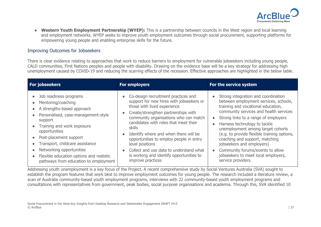

● **Western Youth Employment Partnership (WYEP):** This is a partnership between councils in the West region and local learning and employment networks. WYEP seeks to improve youth employment outcomes through social procurement, supporting platforms for empowering young people and enabling enterprise skills for the future.

#### Improving Outcomes for Jobseekers

There is clear evidence relating to approaches that work to reduce barriers to employment for vulnerable jobseekers including young people, CALD communities, First Nations peoples and people with disability. Drawing on the evidence base will be a key strategy for addressing high unemployment caused by COVID-19 and reducing the scarring effects of the recession. Effective approaches are highlighted in the below table.

| For jobseekers                                                                                                                                                                                                                                                                                                                                                                                                                                                                 | <b>For employers</b>                                                                                                                                                                                                                                                                                                                                                                                                                                                                                                 | For the service system                                                                                                                                                                                                                                                                                                                                                                                                                                                                                             |
|--------------------------------------------------------------------------------------------------------------------------------------------------------------------------------------------------------------------------------------------------------------------------------------------------------------------------------------------------------------------------------------------------------------------------------------------------------------------------------|----------------------------------------------------------------------------------------------------------------------------------------------------------------------------------------------------------------------------------------------------------------------------------------------------------------------------------------------------------------------------------------------------------------------------------------------------------------------------------------------------------------------|--------------------------------------------------------------------------------------------------------------------------------------------------------------------------------------------------------------------------------------------------------------------------------------------------------------------------------------------------------------------------------------------------------------------------------------------------------------------------------------------------------------------|
| Job readiness programs<br>$\bullet$<br>Mentoring/coaching<br>$\bullet$<br>A strengths-based approach<br>$\bullet$<br>Personalised, case-management-style<br>$\bullet$<br>support<br>Training and work exposure<br>$\bullet$<br>opportunities<br>Post-placement support<br>$\bullet$<br>Transport, childcare assistance<br>$\bullet$<br>Networking opportunities<br>$\bullet$<br>Flexible education options and realistic<br>$\bullet$<br>pathways from education to employment | • Co-design recruitment practices and<br>support for new hires with jobseekers or<br>those with lived experience<br>Create/strengthen partnerships with<br>$\bullet$<br>community organisations who can match<br>candidates with roles that meet their<br><b>skills</b><br>Identify where and when there will be<br>$\bullet$<br>opportunities to employ people in entry<br>level positions<br>Collect and use data to understand what<br>$\bullet$<br>is working and identify opportunities to<br>improve practices | Strong integration and coordination<br>between employment services, schools,<br>training and vocational education,<br>community services and health services<br>Strong links to a range of employers<br>Harness technology to tackle<br>$\bullet$<br>unemployment among target cohorts<br>(e.g. to provide flexible training options,<br>coaching and support, matching<br>jobseekers and employers)<br>Community forums/events to allow<br>$\bullet$<br>jobseekers to meet local employers,<br>service providers. |

Addressing youth unemployment is a key focus of the Project. A recent comprehensive study by Social Ventures Australia (SVA) sought to establish the program features that work best to improve employment outcomes for young people. The research included a literature review, a scan of Australia community-based youth employment programs, interviews with 22 community-based youth employment programs and consultations with representatives from government, peak bodies, social purpose organisations and academia. Through this, SVA identified 10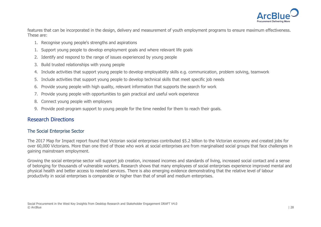

features that can be incorporated in the design, delivery and measurement of youth employment programs to ensure maximum effectiveness. These are:

- 1. Recognise young people's strengths and aspirations
- 1. Support young people to develop employment goals and where relevant life goals
- 2. Identify and respond to the range of issues experienced by young people
- 3. Build trusted relationships with young people
- 4. Include activities that support young people to develop employability skills e.g. communication, problem solving, teamwork
- 5. Include activities that support young people to develop technical skills that meet specific job needs
- 6. Provide young people with high quality, relevant information that supports the search for work
- 7. Provide young people with opportunities to gain practical and useful work experience
- 8. Connect young people with employers
- 9. Provide post-program support to young people for the time needed for them to reach their goals.

## Research Directions

#### The Social Enterprise Sector

The 2017 Map for Impact report found that Victorian social enterprises contributed \$5.2 billion to the Victorian economy and created jobs for over 60,000 Victorians. More than one third of those who work at social enterprises are from marginalised social groups that face challenges in gaining mainstream employment.

Growing the social enterprise sector will support job creation, increased incomes and standards of living, increased social contact and a sense of belonging for thousands of vulnerable workers. Research shows that many employees of social enterprises experience improved mental and physical health and better access to needed services. There is also emerging evidence demonstrating that the relative level of labour productivity in social enterprises is comparable or higher than that of small and medium enterprises.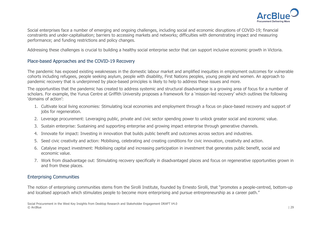

Social enterprises face a number of emerging and ongoing challenges, including social and economic disruptions of COVID-19; financial constraints and under-capitalisation; barriers to accessing markets and networks; difficulties with demonstrating impact and measuring performance; and funding restrictions and policy changes.

Addressing these challenges is crucial to building a healthy social enterprise sector that can support inclusive economic growth in Victoria.

#### Place-based Approaches and the COVID-19 Recovery

The pandemic has exposed existing weaknesses in the domestic labour market and amplified inequities in employment outcomes for vulnerable cohorts including refugees, people seeking asylum, people with disability, First Nations peoples, young people and women. An approach to pandemic recovery that is underpinned by place-based principles is likely to help to address these issues and more.

The opportunities that the pandemic has created to address systemic and structural disadvantage is a growing area of focus for a number of scholars. For example, the Yunus Centre at Griffith University proposes a framework for a 'mission-led recovery' which outlines the following 'domains of action':

- 1. Cultivate local living economies: Stimulating local economies and employment through a focus on place-based recovery and support of jobs for regeneration.
- 2. Leverage procurement: Leveraging public, private and civic sector spending power to unlock greater social and economic value.
- 3. Sustain enterprise: Sustaining and supporting enterprise and growing impact enterprise through generative channels.
- 4. Innovate for impact: Investing in innovation that builds public benefit and outcomes across sectors and industries.
- 5. Seed civic creativity and action: Mobilising, celebrating and creating conditions for civic innovation, creativity and action.
- 6. Catalyse impact investment: Mobilising capital and increasing participation in investment that generates public benefit, social and economic value.
- 7. Work from disadvantage out: Stimulating recovery specifically in disadvantaged places and focus on regenerative opportunities grown in and from these places.

#### Enterprising Communities

The notion of enterprising communities stems from the Sirolli Institute, founded by Ernesto Sirolli, that "promotes a people-centred, bottom-up and localised approach which stimulates people to become more enterprising and pursue entrepreneurship as a career path."

Social Procurement in the West Key Insights from Desktop Research and Stakeholder Engagement DRAFT V4.0 © ArcBlue | 29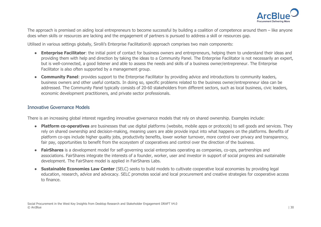

The approach is premised on aiding local entrepreneurs to become successful by building a coalition of competence around them – like anyone does when skills or resources are lacking and the engagement of partners is pursued to address a skill or resources gap.

Utilised in various settings globally, Sirolli's Enterprise Facilitation® approach comprises two main components:

- **Enterprise Facilitator**: the initial point of contact for business owners and entrepreneurs, helping them to understand their ideas and providing them with help and direction by taking the ideas to a Community Panel. The Enterprise Facilitator is not necessarily an expert, but is well-connected, a good listener and able to assess the needs and skills of a business owner/entrepreneur. The Enterprise Facilitator is also often supported by a management group.
- **Community Panel**: provides support to the Enterprise Facilitator by providing advice and introductions to community leaders, business owners and other useful contacts. In doing so, specific problems related to the business owner/entrepreneur idea can be addressed. The Community Panel typically consists of 20-60 stakeholders from different sectors, such as local business, civic leaders, economic development practitioners, and private sector professionals.

#### Innovative Governance Models

There is an increasing global interest regarding innovative governance models that rely on shared ownership. Examples include:

- **Platform co-operatives** are businesses that use digital platforms (website, mobile apps or protocols) to sell goods and services. They rely on shared ownership and decision-making, meaning users are able provide input into what happens on the platforms. Benefits of platform co-ops include higher quality jobs, productivity benefits, lower worker turnover, more control over privacy and transparency, fair pay, opportunities to benefit from the ecosystem of cooperatives and control over the direction of the business.
- **FairShares** is a development model for self-governing social enterprises operating as companies, co-ops, partnerships and associations. FairShares integrate the interests of a founder, worker, user and investor in support of social progress and sustainable development. The FairShare model is applied in FairShares Labs.
- **Sustainable Economies Law Center** (SELC) seeks to build models to cultivate cooperative local economies by providing legal education, research, advice and advocacy. SELC promotes social and local procurement and creative strategies for cooperative access to finance.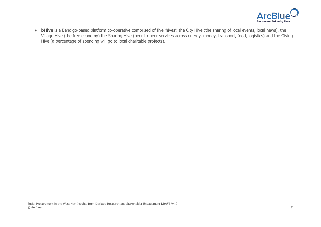

• **bHive** is a Bendigo-based platform co-operative comprised of five 'hives': the City Hive (the sharing of local events, local news), the Village Hive (the free economy) the Sharing Hive (peer-to-peer services across energy, money, transport, food, logistics) and the Giving Hive (a percentage of spending will go to local charitable projects).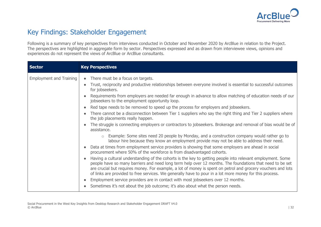

# Key Findings: Stakeholder Engagement

Following is a summary of key perspectives from interviews conducted in October and November 2020 by ArcBlue in relation to the Project. The perspectives are highlighted in aggregate form by sector. Perspectives expressed and as drawn from interviewee views, opinions and experiences do not represent the views of ArcBlue or ArcBlue consultants.

| <b>Sector</b>                  | <b>Key Perspectives</b>                                                                                                                                                                                                                                                                                                                                                                                                                                                                                                                                                                                                                                                                                                                                                                                                                                                                                                                                                                                                                                                                                                                                                                                                                                                                                                                                                                                                                                                                                                                                                                                                                                                                                                       |
|--------------------------------|-------------------------------------------------------------------------------------------------------------------------------------------------------------------------------------------------------------------------------------------------------------------------------------------------------------------------------------------------------------------------------------------------------------------------------------------------------------------------------------------------------------------------------------------------------------------------------------------------------------------------------------------------------------------------------------------------------------------------------------------------------------------------------------------------------------------------------------------------------------------------------------------------------------------------------------------------------------------------------------------------------------------------------------------------------------------------------------------------------------------------------------------------------------------------------------------------------------------------------------------------------------------------------------------------------------------------------------------------------------------------------------------------------------------------------------------------------------------------------------------------------------------------------------------------------------------------------------------------------------------------------------------------------------------------------------------------------------------------------|
| <b>Employment and Training</b> | There must be a focus on targets.<br>Trust, reciprocity and productive relationships between everyone involved is essential to successful outcomes<br>for jobseekers.<br>Requirements from employers are needed far enough in advance to allow matching of education needs of our<br>jobseekers to the employment opportunity loop.<br>Red tape needs to be removed to speed up the process for employers and jobseekers.<br>There cannot be a disconnection between Tier 1 suppliers who say the right thing and Tier 2 suppliers where<br>the job placements really happen.<br>The struggle is connecting employers or contractors to jobseekers. Brokerage and removal of bias would be of<br>assistance.<br>$\circ$ Example: Some sites need 20 people by Monday, and a construction company would rather go to<br>labour hire because they know an employment provide may not be able to address their need.<br>Data at times from employment service providers is showing that some employers are ahead in social<br>procurement where 50% of the workforce is from disadvantaged cohorts.<br>Having a cultural understanding of the cohorts is the key to getting people into relevant employment. Some<br>people have so many barriers and need long term help over 12 months. The foundations that need to be set<br>are crucial but requires money. For example, a lot of money is spent on petrol and grocery vouchers and lots<br>of links are provided to free services. We generally have to pour in a lot more money for this process.<br>Employment service providers are in contact with most jobseekers over 12 months.<br>Sometimes it's not about the job outcome; it's also about what the person needs. |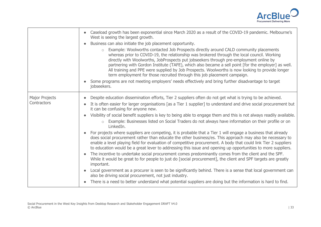

|                                      | Caseload growth has been exponential since March 2020 as a result of the COVID-19 pandemic. Melbourne's<br>West is seeing the largest growth.<br>Business can also initiate the job placement opportunity.<br>Example: Woolworths contacted Job Prospects directly around CALD community placements<br>whereas prior to COVID-19, the relationship was brokered through the local council. Working<br>directly with Woolworths, JobProspects put jobseekers through pre-employment online by<br>partnering with Gordon Institute (TAFE), which also became a sell point [for the employer] as well.<br>All training and PPE were supplied by Job Prospects. Woolworths is now looking to provide longer<br>term employment for those recruited through this job placement campaign.<br>Some programs are not meeting employers' needs effectively and bring further disadvantage to target<br>jobseekers.                                                                                                                                                                                                                                                                                                                                                                                                                                                                                                                                                                                                                     |
|--------------------------------------|-------------------------------------------------------------------------------------------------------------------------------------------------------------------------------------------------------------------------------------------------------------------------------------------------------------------------------------------------------------------------------------------------------------------------------------------------------------------------------------------------------------------------------------------------------------------------------------------------------------------------------------------------------------------------------------------------------------------------------------------------------------------------------------------------------------------------------------------------------------------------------------------------------------------------------------------------------------------------------------------------------------------------------------------------------------------------------------------------------------------------------------------------------------------------------------------------------------------------------------------------------------------------------------------------------------------------------------------------------------------------------------------------------------------------------------------------------------------------------------------------------------------------------|
| <b>Major Projects</b><br>Contractors | Despite education dissemination efforts, Tier 2 suppliers often do not get what is trying to be achieved.<br>It is often easier for larger organisations [as a Tier 1 supplier] to understand and drive social procurement but<br>it can be confusing for anyone new.<br>Visibility of social benefit suppliers is key to being able to engage them and this is not always readily available.<br>Example: Businesses listed on Social Traders do not always have information on their profile or on<br>$\circ$<br>LinkedIn.<br>For projects where suppliers are competing, it is probable that a Tier 1 will engage a business that already<br>does social procurement rather than educate the other business/es. This approach may also be necessary to<br>enable a level playing field for evaluation of competitive procurement. A body that could link Tier 2 suppliers<br>to education would be a great lever to addressing this issue and opening up opportunities to more suppliers.<br>The incentive to undertake social procurement comes predominantly comes from the client and the SPF.<br>While it would be great to for people to just do [social procurement], the client and SPF targets are greatly<br>important.<br>Local government as a procurer is seen to be significantly behind. There is a sense that local government can<br>also be driving social procurement, not just industry.<br>There is a need to better understand what potential suppliers are doing but the information is hard to find. |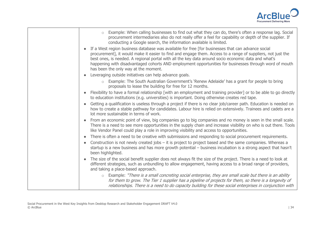

| Example: When calling businesses to find out what they can do, there's often a response lag. Social<br>$\circ$<br>procurement intermediaries also do not really offer a feel for capability or depth of the supplier. If<br>conducting a Google search, the information available is limited.                                                                                                                                                                             |
|---------------------------------------------------------------------------------------------------------------------------------------------------------------------------------------------------------------------------------------------------------------------------------------------------------------------------------------------------------------------------------------------------------------------------------------------------------------------------|
| If a West region business database was available for free [for businesses that can advance social<br>procurement], it would make it easier to find and engage them. Access to a range of suppliers, not just the<br>best ones, is needed. A regional portal with all the key data around socio economic data and what's<br>happening with disadvantaged cohorts AND employment opportunities for businesses through word of mouth<br>has been the only way at the moment. |
| Leveraging outside initiatives can help advance goals.                                                                                                                                                                                                                                                                                                                                                                                                                    |
| o Example: The South Australian Government's 'Renew Adelaide' has a grant for people to bring<br>proposals to lease the building for free for 12 months.                                                                                                                                                                                                                                                                                                                  |
| Flexibility to have a formal relationship [with an employment and training provider] or to be able to go directly<br>to education institutions (e.g. universities) is important. Doing otherwise creates red tape.                                                                                                                                                                                                                                                        |
| Getting a qualification is useless through a project if there is no clear job/career path. Education is needed on<br>how to create a stable pathway for candidates. Labour hire is relied on extensively. Trainees and cadets are a<br>lot more sustainable in terms of work.                                                                                                                                                                                             |
| From an economic point of view, big companies go to big companies and no money is seen in the small scale.<br>There is a need to see more opportunities in the supply chain and increase visibility on who is out there. Tools<br>like Vendor Panel could play a role in improving visibility and access to opportunities.                                                                                                                                                |
| There is often a need to be creative with submissions and responding to social procurement requirements.<br>$\bullet$                                                                                                                                                                                                                                                                                                                                                     |
| Construction is not newly created jobs – it is project to project based and the same companies. Whereas a<br>startup is a new business and has more growth potential – business incubation is a strong aspect that hasn't<br>been highlighted.                                                                                                                                                                                                                            |
| The size of the social benefit supplier does not always fit the size of the project. There is a need to look at<br>different strategies, such as unbundling to allow engagement, having access to a broad range of providers,<br>and taking a place-based approach.                                                                                                                                                                                                       |
| o Example: "There is a small concreting social enterprise, they are small scale but there is an ability<br>for them to grow. The Tier 1 supplier has a pipeline of projects for them, so there is a longevity of<br>relationships. There is a need to do capacity building for these social enterprises in conjunction with                                                                                                                                               |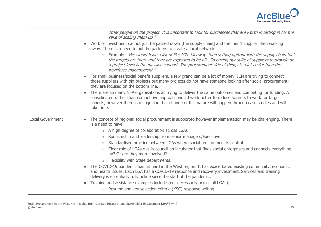

|                         | other people on the project. It is important to look for businesses that are worth investing in for the<br>sake of scaling them up."                                                                                                                                                                                                             |
|-------------------------|--------------------------------------------------------------------------------------------------------------------------------------------------------------------------------------------------------------------------------------------------------------------------------------------------------------------------------------------------|
|                         | Work or investment cannot just be passed down [the supply chain] and the Tier 1 supplier then walking<br>away. There is a need to aid the partners to create a local network.                                                                                                                                                                    |
|                         | $\circ$ Example: "We would have a list of like ICN, Kinaway, then setting upfront with the supply chain that<br>the targets are there and they are expected to be hitSo having our suite of suppliers to provide on<br>a project level is the massive support. The procurement side of things is a lot easier than the<br>workforce management." |
|                         | For small business/social benefit suppliers, a few grand can be a lot of money. ICN are trying to connect<br>those suppliers with big projects but many projects do not have someone looking after social procurement;<br>they are focused on the bottom line.                                                                                   |
|                         | There are so many NFP organisations all trying to deliver the same outcomes and competing for funding. A<br>consolidated rather than competitive approach would work better to reduce barriers to work for target<br>cohorts, however there is recognition that change of this nature will happen through case studies and will<br>take time.    |
| <b>Local Government</b> | The concept of regional social procurement is supported however implementation may be challenging. There<br>is a need to have:                                                                                                                                                                                                                   |
|                         | A high degree of collaboration across LGAs<br>$\circ$                                                                                                                                                                                                                                                                                            |
|                         | Sponsorship and leadership from senior managers/Executive<br>$\circ$                                                                                                                                                                                                                                                                             |
|                         | Standardised practice between LGAs where social procurement is central<br>$\circ$                                                                                                                                                                                                                                                                |
|                         | Clear role of LGAs e.g. is council an incubator that finds social enterprises and connects everything<br>$\bigcirc$<br>up? Or are they more involved?                                                                                                                                                                                            |
|                         | $\circ$ Flexibility with State departments.                                                                                                                                                                                                                                                                                                      |
|                         | The COVID-19 pandemic has hit hard in the West region. It has exacerbated existing community, economic<br>and health issues. Each LGA has a COVID-19 response and recovery investment. Services and training<br>delivery is essentially fully online since the start of the pandemic.                                                            |
|                         | Training and assistance examples include (not necessarily across all LGAs):<br>$\bullet$                                                                                                                                                                                                                                                         |
|                         | Resume and key selection criteria (KSC) response writing<br>$\circlearrowright$                                                                                                                                                                                                                                                                  |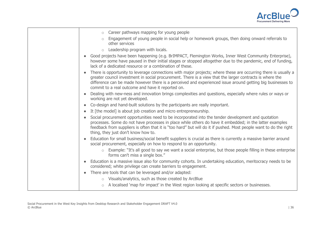

| Career pathways mapping for young people<br>$\circ$                                                                                                                                                                                                                                                                                                                                           |
|-----------------------------------------------------------------------------------------------------------------------------------------------------------------------------------------------------------------------------------------------------------------------------------------------------------------------------------------------------------------------------------------------|
| Engagement of young people in social help or homework groups, then doing onward referrals to<br>$\circ$<br>other services                                                                                                                                                                                                                                                                     |
| Leadership program with locals.<br>$\circ$                                                                                                                                                                                                                                                                                                                                                    |
| Good projects have been happening (e.g. BrIMPACT, Flemington Works, Inner West Community Enterprise),<br>however some have paused in their initial stages or stopped altogether due to the pandemic, end of funding,<br>lack of a dedicated resource or a combination of these.                                                                                                               |
| There is opportunity to leverage connections with major projects; where these are occurring there is usually a<br>greater council investment in social procurement. There is a view that the larger contracts is where the<br>difference can be made however there is a perceived and experienced issue around getting big businesses to<br>commit to a real outcome and have it reported on. |
| Dealing with new-ness and innovation brings complexities and questions, especially where rules or ways or<br>$\bullet$<br>working are not yet developed.                                                                                                                                                                                                                                      |
| Co-design and hand-built solutions by the participants are really important.                                                                                                                                                                                                                                                                                                                  |
| It [the model] is about job creation and micro entrepreneurship.<br>$\bullet$                                                                                                                                                                                                                                                                                                                 |
| Social procurement opportunities need to be incorporated into the tender development and quotation<br>processes. Some do not have processes in place while others do have it embedded; in the latter examples<br>feedback from suppliers is often that it is "too hard" but will do it if pushed. Most people want to do the right<br>thing, they just don't know how to.                     |
| Education for small business/social benefit suppliers is crucial as there is currently a massive barrier around<br>social procurement, especially on how to respond to an opportunity.                                                                                                                                                                                                        |
| Example: "It's all good to say we want a social enterprise, but those people filling in these enterprise<br>$\circ$<br>forms can't miss a single box."                                                                                                                                                                                                                                        |
| Education is a massive issue also for community cohorts. In undertaking education, meritocracy needs to be<br>considered; white privilege can create barriers to engagement.                                                                                                                                                                                                                  |
| There are tools that can be leveraged and/or adapted:<br>$\bullet$                                                                                                                                                                                                                                                                                                                            |
| Visuals/analytics, such as those created by ArcBlue<br>$\circ$                                                                                                                                                                                                                                                                                                                                |
| A localised 'map for impact' in the West region looking at specific sectors or businesses.                                                                                                                                                                                                                                                                                                    |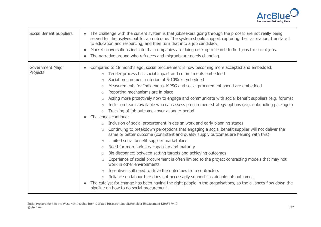

| Social Benefit Suppliers     | The challenge with the current system is that jobseekers going through the process are not really being<br>served for themselves but for an outcome. The system should support capturing their aspiration, translate it<br>to education and resourcing, and then turn that into a job candidacy.<br>Market conversations indicate that companies are doing desktop research to find jobs for social jobs.<br>$\bullet$<br>The narrative around who refugees and migrants are needs changing.                                                                                                                                                                                                                                                                                                                                                                                                                                                                                                                                                                                                                                                                                                                                                                                                                                                                                                                                                                                                                                                                                                                                                                                    |
|------------------------------|---------------------------------------------------------------------------------------------------------------------------------------------------------------------------------------------------------------------------------------------------------------------------------------------------------------------------------------------------------------------------------------------------------------------------------------------------------------------------------------------------------------------------------------------------------------------------------------------------------------------------------------------------------------------------------------------------------------------------------------------------------------------------------------------------------------------------------------------------------------------------------------------------------------------------------------------------------------------------------------------------------------------------------------------------------------------------------------------------------------------------------------------------------------------------------------------------------------------------------------------------------------------------------------------------------------------------------------------------------------------------------------------------------------------------------------------------------------------------------------------------------------------------------------------------------------------------------------------------------------------------------------------------------------------------------|
| Government Major<br>Projects | Compared to 18 months ago, social procurement is now becoming more accepted and embedded:<br>Tender process has social impact and commitments embedded<br>$\circ$<br>Social procurement criterion of 5-10% is embedded<br>$\circ$<br>Measurements for Indigenous, MPSG and social procurement spend are embedded<br>$\circ$<br>Reporting mechanisms are in place<br>$\bigcirc$<br>Acting more proactively now to engage and communicate with social benefit suppliers (e.g. forums)<br>$\bigcirc$<br>Inclusion teams available who can assess procurement strategy options (e.g. unbundling packages)<br>$\circ$<br>Tracking of job outcomes over a longer period.<br>$\circ$<br>Challenges continue:<br>Inclusion of social procurement in design work and early planning stages<br>Continuing to breakdown perceptions that engaging a social benefit supplier will not deliver the<br>$\circ$<br>same or better outcome (consistent and quality supply outcomes are helping with this)<br>Limited social benefit supplier marketplace<br>$\circ$<br>Need for more industry capability and maturity<br>$\circ$<br>Big disconnect between setting targets and achieving outcomes<br>$\circ$<br>Experience of social procurement is often limited to the project contracting models that may not<br>$\circ$<br>work in other environments<br>Incentives still need to drive the outcomes from contractors<br>$\circ$<br>Reliance on labour hire does not necessarily support sustainable job outcomes.<br>$\circ$<br>The catalyst for change has been having the right people in the organisations, so the alliances flow down the<br>pipeline on how to do social procurement. |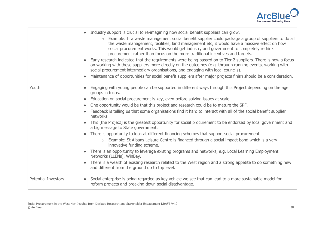

|                            | Industry support is crucial to re-imagining how social benefit suppliers can grow.<br>o Example: If a waste management social benefit supplier could package a group of suppliers to do all<br>the waste management, facilities, land management etc, it would have a massive effect on how<br>social procurement works. This would get industry and government to completely rethink<br>procurement rather than focus on the more traditional incentives and targets.<br>Early research indicated that the requirements were being passed on to Tier 2 suppliers. There is now a focus<br>on working with these suppliers more directly on the outcomes (e.g. through running events, working with<br>social procurement intermediary organisations, and engaging with local councils).<br>Maintenance of opportunities for social benefit suppliers after major projects finish should be a consideration.                                                                                                                                                                                                                            |
|----------------------------|-----------------------------------------------------------------------------------------------------------------------------------------------------------------------------------------------------------------------------------------------------------------------------------------------------------------------------------------------------------------------------------------------------------------------------------------------------------------------------------------------------------------------------------------------------------------------------------------------------------------------------------------------------------------------------------------------------------------------------------------------------------------------------------------------------------------------------------------------------------------------------------------------------------------------------------------------------------------------------------------------------------------------------------------------------------------------------------------------------------------------------------------|
| Youth                      | Engaging with young people can be supported in different ways through this Project depending on the age<br>groups in focus.<br>Education on social procurement is key, even before solving issues at scale.<br>One opportunity would be that this project and research could be to mature the SPF.<br>$\bullet$<br>Feedback is telling us that some organisations find it hard to interact with all of the social benefit supplier<br>networks.<br>This [the Project] is the greatest opportunity for social procurement to be endorsed by local government and<br>a big message to State government.<br>There is opportunity to look at different financing schemes that support social procurement.<br>o Example: St Albans Leisure Centre is financed through a social impact bond which is a very<br>innovative funding scheme.<br>There is an opportunity to leverage existing programs and networks, e.g. Local Learning Employment<br>Networks (LLENs), WinBay.<br>There is a wealth of existing research related to the West region and a strong appetite to do something new<br>and different from the ground up to top level. |
| <b>Potential Investors</b> | Social enterprise is being regarded as key vehicle we see that can lead to a more sustainable model for<br>reform projects and breaking down social disadvantage.                                                                                                                                                                                                                                                                                                                                                                                                                                                                                                                                                                                                                                                                                                                                                                                                                                                                                                                                                                       |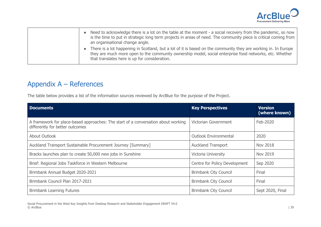

- Need to acknowledge there is a lot on the table at the moment a social recovery from the pandemic, so now is the time to put in strategic long term projects in areas of need. The community piece is critical coming from an organisational change angle.
- There is a lot happening in Scotland, but a lot of it is based on the community they are working in. In Europe they are much more open to the community ownership model, social enterprise food networks, etc. Whether that translates here is up for consideration.

# Appendix A – References

The table below provides a list of the information sources reviewed by ArcBlue for the purpose of the Project.

| <b>Documents</b>                                                                                                     | <b>Key Perspectives</b>       | <b>Version</b><br>(where known) |
|----------------------------------------------------------------------------------------------------------------------|-------------------------------|---------------------------------|
| A framework for place-based approaches: The start of a conversation about working<br>differently for better outcomes | Victorian Government          | Feb-2020                        |
| About Outlook                                                                                                        | <b>Outlook Environmental</b>  | 2020                            |
| Auckland Transport Sustainable Procurement Journey [Summary]                                                         | <b>Auckland Transport</b>     | <b>Nov 2018</b>                 |
| Bracks launches plan to create 50,000 new jobs in Sunshine                                                           | Victoria University           | Nov 2019                        |
| Brief: Regional Jobs Taskforce in Western Melbourne                                                                  | Centre for Policy Development | Sep 2020                        |
| Brimbank Annual Budget 2020-2021                                                                                     | <b>Brimbank City Council</b>  | Final                           |
| Brimbank Council Plan 2017-2021                                                                                      | <b>Brimbank City Council</b>  | Final                           |
| <b>Brimbank Learning Futures</b>                                                                                     | <b>Brimbank City Council</b>  | Sept 2020, Final                |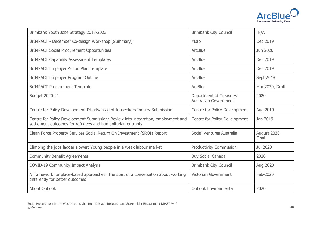

| Brimbank Youth Jobs Strategy 2018-2023                                                                                                          | <b>Brimbank City Council</b>                            | N/A                  |
|-------------------------------------------------------------------------------------------------------------------------------------------------|---------------------------------------------------------|----------------------|
| BrIMPACT - December Co-design Workshop [Summary]                                                                                                | YLab                                                    | Dec 2019             |
| <b>BrIMPACT Social Procurement Opportunities</b>                                                                                                | ArcBlue                                                 | Jun 2020             |
| <b>BrIMPACT Capability Assessment Templates</b>                                                                                                 | ArcBlue                                                 | Dec 2019             |
| <b>BrIMPACT Employer Action Plan Template</b>                                                                                                   | ArcBlue                                                 | Dec 2019             |
| <b>BrIMPACT Employer Program Outline</b>                                                                                                        | ArcBlue                                                 | Sept 2018            |
| <b>BrIMPACT Procurement Template</b>                                                                                                            | ArcBlue                                                 | Mar 2020, Draft      |
| Budget 2020-21                                                                                                                                  | Department of Treasury:<br><b>Australian Government</b> | 2020                 |
| Centre for Policy Development Disadvantaged Jobseekers Inquiry Submission                                                                       | Centre for Policy Development                           | Aug 2019             |
| Centre for Policy Development Submission: Review into integration, employment and<br>settlement outcomes for refugees and humanitarian entrants | Centre for Policy Development                           | Jan 2019             |
| Clean Force Property Services Social Return On Investment (SROI) Report                                                                         | Social Ventures Australia                               | August 2020<br>Final |
| Climbing the jobs ladder slower: Young people in a weak labour market                                                                           | <b>Productivity Commission</b>                          | Jul 2020             |
| <b>Community Benefit Agreements</b>                                                                                                             | <b>Buy Social Canada</b>                                | 2020                 |
| <b>COVID-19 Community Impact Analysis</b>                                                                                                       | <b>Brimbank City Council</b>                            | Aug 2020             |
| A framework for place-based approaches: The start of a conversation about working<br>differently for better outcomes                            | <b>Victorian Government</b>                             | Feb-2020             |
| <b>About Outlook</b>                                                                                                                            | <b>Outlook Environmental</b>                            | 2020                 |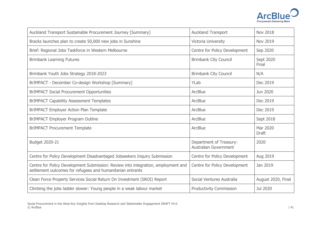

| Auckland Transport Sustainable Procurement Journey [Summary]                                                                                    | <b>Auckland Transport</b>                               | <b>Nov 2018</b>          |
|-------------------------------------------------------------------------------------------------------------------------------------------------|---------------------------------------------------------|--------------------------|
| Bracks launches plan to create 50,000 new jobs in Sunshine                                                                                      | Victoria University                                     | <b>Nov 2019</b>          |
| Brief: Regional Jobs Taskforce in Western Melbourne                                                                                             | Centre for Policy Development                           | Sep 2020                 |
| <b>Brimbank Learning Futures</b>                                                                                                                | <b>Brimbank City Council</b>                            | Sept 2020<br>Final       |
| Brimbank Youth Jobs Strategy 2018-2023                                                                                                          | <b>Brimbank City Council</b>                            | N/A                      |
| BrIMPACT - December Co-design Workshop [Summary]                                                                                                | YLab                                                    | Dec 2019                 |
| <b>BrIMPACT Social Procurement Opportunities</b>                                                                                                | ArcBlue                                                 | Jun 2020                 |
| <b>BrIMPACT Capability Assessment Templates</b>                                                                                                 | ArcBlue                                                 | Dec 2019                 |
| <b>BrIMPACT Employer Action Plan Template</b>                                                                                                   | ArcBlue                                                 | Dec 2019                 |
| <b>BrIMPACT Employer Program Outline</b>                                                                                                        | ArcBlue                                                 | Sept 2018                |
| <b>BrIMPACT Procurement Template</b>                                                                                                            | ArcBlue                                                 | Mar 2020<br><b>Draft</b> |
| Budget 2020-21                                                                                                                                  | Department of Treasury:<br><b>Australian Government</b> | 2020                     |
| Centre for Policy Development Disadvantaged Jobseekers Inquiry Submission                                                                       | Centre for Policy Development                           | Aug 2019                 |
| Centre for Policy Development Submission: Review into integration, employment and<br>settlement outcomes for refugees and humanitarian entrants | Centre for Policy Development                           | Jan 2019                 |
| Clean Force Property Services Social Return On Investment (SROI) Report                                                                         | Social Ventures Australia                               | August 2020, Final       |
| Climbing the jobs ladder slower: Young people in a weak labour market                                                                           | <b>Productivity Commission</b>                          | Jul 2020                 |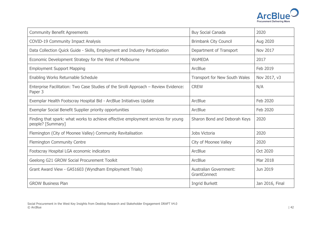

| <b>Community Benefit Agreements</b>                                                                    | <b>Buy Social Canada</b>                             | 2020            |
|--------------------------------------------------------------------------------------------------------|------------------------------------------------------|-----------------|
| <b>COVID-19 Community Impact Analysis</b>                                                              | <b>Brimbank City Council</b>                         | Aug 2020        |
| Data Collection Quick Guide - Skills, Employment and Industry Participation                            | Department of Transport                              | <b>Nov 2017</b> |
| Economic Development Strategy for the West of Melbourne                                                | <b>WOMEDA</b>                                        | 2017            |
| <b>Employment Support Mapping</b>                                                                      | ArcBlue                                              | Feb 2019        |
| Enabling Works Returnable Schedule                                                                     | Transport for New South Wales                        | Nov 2017, v3    |
| Enterprise Facilitation: Two Case Studies of the Sirolli Approach - Review Evidence:<br>Paper 3        | <b>CREW</b>                                          | N/A             |
| Exemplar Health Footscray Hospital Bid - ArcBlue Initiatives Update                                    | <b>ArcBlue</b>                                       | Feb 2020        |
| Exemplar Social Benefit Supplier priority opportunities                                                | ArcBlue                                              | Feb 2020        |
| Finding that spark: what works to achieve effective employment services for young<br>people? [Summary] | Sharon Bond and Deborah Keys                         | 2020            |
| Flemington (City of Moonee Valley) Community Revitalisation                                            | Jobs Victoria                                        | 2020            |
| Flemington Community Centre                                                                            | City of Moonee Valley                                | 2020            |
| Footscray Hospital LGA economic indicators                                                             | ArcBlue                                              | Oct 2020        |
| Geelong G21 GROW Social Procurement Toolkit                                                            | ArcBlue                                              | Mar 2018        |
| Grant Award View - GA51603 (Wyndham Employment Trials)                                                 | <b>Australian Government:</b><br><b>GrantConnect</b> | Jun 2019        |
| <b>GROW Business Plan</b>                                                                              | <b>Ingrid Burkett</b>                                | Jan 2016, Final |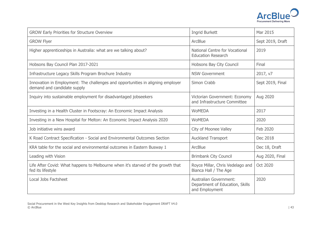

| <b>GROW Early Priorities for Structure Overview</b>                                                            | <b>Ingrid Burkett</b>                                                              | Mar 2015         |
|----------------------------------------------------------------------------------------------------------------|------------------------------------------------------------------------------------|------------------|
| <b>GROW Flyer</b>                                                                                              | ArcBlue                                                                            | Sept 2019, Draft |
| Higher apprenticeships in Australia: what are we talking about?                                                | National Centre for Vocational<br><b>Education Research</b>                        | 2019             |
| Hobsons Bay Council Plan 2017-2021                                                                             | Hobsons Bay City Council                                                           | Final            |
| Infrastructure Legacy Skills Program Brochure Industry                                                         | <b>NSW Government</b>                                                              | 2017, v7         |
| Innovation in Employment: The challenges and opportunities in aligning employer<br>demand and candidate supply | Simon Crabb                                                                        | Sept 2019, Final |
| Inquiry into sustainable employment for disadvantaged jobseekers                                               | Victorian Government: Economy<br>and Infrastructure Committee                      | Aug 2020         |
| Investing in a Health Cluster in Footscray: An Economic Impact Analysis                                        | <b>WoMEDA</b>                                                                      | 2017             |
| Investing in a New Hospital for Melton: An Economic Impact Analysis 2020                                       | <b>WoMEDA</b>                                                                      | 2020             |
| Job initiative wins award                                                                                      | City of Moonee Valley                                                              | Feb 2020         |
| K Road Contract Specification - Social and Environmental Outcomes Section                                      | <b>Auckland Transport</b>                                                          | Dec 2018         |
| KRA table for the social and environmental outcomes in Eastern Busway 1                                        | ArcBlue                                                                            | Dec 18, Draft    |
| Leading with Vision                                                                                            | <b>Brimbank City Council</b>                                                       | Aug 2020, Final  |
| Life After Covid: What happens to Melbourne when it's starved of the growth that<br>fed its lifestyle          | Royce Millar, Chris Vedelago and<br>Bianca Hall / The Age                          | Oct 2020         |
| Local Jobs Factsheet                                                                                           | <b>Australian Government:</b><br>Department of Education, Skills<br>and Employment | 2020             |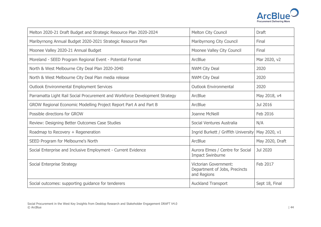

| Melton 2020-21 Draft Budget and Strategic Resource Plan 2020-2024           | Melton City Council                                                          | <b>Draft</b>    |
|-----------------------------------------------------------------------------|------------------------------------------------------------------------------|-----------------|
| Maribyrnong Annual Budget 2020-2021 Strategic Resource Plan                 | Maribyrnong City Council                                                     | Final           |
| Moonee Valley 2020-21 Annual Budget                                         | Moonee Valley City Council                                                   | Final           |
| Moreland - SEED Program Regional Event - Potential Format                   | ArcBlue                                                                      | Mar 2020, v2    |
| North & West Melbourne City Deal Plan 2020-2040                             | <b>NWM City Deal</b>                                                         | 2020            |
| North & West Melbourne City Deal Plan media release                         | <b>NWM City Deal</b>                                                         | 2020            |
| <b>Outlook Environmental Employment Services</b>                            | <b>Outlook Environmental</b>                                                 | 2020            |
| Parramatta Light Rail Social Procurement and Workforce Development Strategy | ArcBlue                                                                      | May 2018, v4    |
| GROW Regional Economic Modelling Project Report Part A and Part B           | ArcBlue                                                                      | Jul 2016        |
| Possible directions for GROW                                                | Joanne McNeill                                                               | Feb 2016        |
| Review: Designing Better Outcomes Case Studies                              | Social Ventures Australia                                                    | N/A             |
| Roadmap to Recovery + Regeneration                                          | Ingrid Burkett / Griffith University May 2020, v1                            |                 |
| SEED Program for Melbourne's North                                          | <b>ArcBlue</b>                                                               | May 2020, Draft |
| Social Enterprise and Inclusive Employment - Current Evidence               | Aurora Elmes / Centre for Social<br><b>Impact Swinburne</b>                  | Jul 2020        |
| Social Enterprise Strategy                                                  | <b>Victorian Government:</b><br>Department of Jobs, Precincts<br>and Regions | Feb 2017        |
| Social outcomes: supporting guidance for tenderers                          | <b>Auckland Transport</b>                                                    | Sept 18, Final  |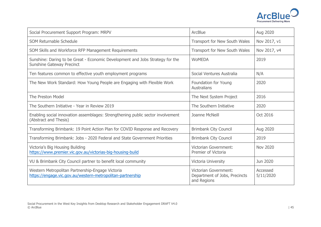

| Social Procurement Support Program: MRPV                                                                          | ArcBlue                                                                      | Aug 2020              |
|-------------------------------------------------------------------------------------------------------------------|------------------------------------------------------------------------------|-----------------------|
| SOM Returnable Schedule                                                                                           | Transport for New South Wales                                                | Nov 2017, v1          |
| SOM Skills and Workforce RFP Management Requirements                                                              | Transport for New South Wales                                                | Nov 2017, v4          |
| Sunshine: Daring to be Great - Economic Development and Jobs Strategy for the<br><b>Sunshine Gateway Precinct</b> | <b>WOMEDA</b>                                                                | 2019                  |
| Ten features common to effective youth employment programs                                                        | Social Ventures Australia                                                    | N/A                   |
| The New Work Standard: How Young People are Engaging with Flexible Work                                           | Foundation for Young<br>Australians                                          | 2020                  |
| <b>The Preston Model</b>                                                                                          | The Next System Project                                                      | 2016                  |
| The Southern Initiative - Year in Review 2019                                                                     | The Southern Initiative                                                      | 2020                  |
| Enabling social innovation assemblages: Strengthening public sector involvement<br>(Abstract and Thesis)          | Joanne McNeill                                                               | Oct 2016              |
| Transforming Brimbank: 19 Point Action Plan for COVID Response and Recovery                                       | <b>Brimbank City Council</b>                                                 | Aug 2020              |
| Transforming Brimbank: Jobs - 2020 Federal and State Government Priorities                                        | <b>Brimbank City Council</b>                                                 | 2019                  |
| Victoria's Big Housing Building<br>https://www.premier.vic.gov.au/victorias-big-housing-build                     | <b>Victorian Government:</b><br><b>Premier of Victoria</b>                   | <b>Nov 2020</b>       |
| VU & Brimbank City Council partner to benefit local community                                                     | Victoria University                                                          | Jun 2020              |
| Western Metropolitan Partnership-Engage Victoria<br>https://engage.vic.gov.au/western-metropolitan-partnership    | <b>Victorian Government:</b><br>Department of Jobs, Precincts<br>and Regions | Accessed<br>5/11/2020 |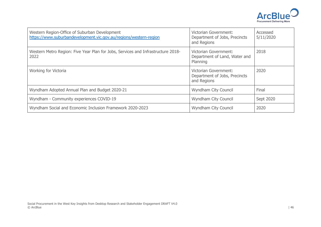

| Western Region-Office of Suburban Development<br>https://www.suburbandevelopment.vic.gov.au/regions/western-region | <b>Victorian Government:</b><br>Department of Jobs, Precincts<br>and Regions | Accessed<br>5/11/2020 |
|--------------------------------------------------------------------------------------------------------------------|------------------------------------------------------------------------------|-----------------------|
| Western Metro Region: Five Year Plan for Jobs, Services and Infrastructure 2018-<br>2022                           | <b>Victorian Government:</b><br>Department of Land, Water and<br>Planning    | 2018                  |
| Working for Victoria                                                                                               | Victorian Government:<br>Department of Jobs, Precincts<br>and Regions        | 2020                  |
| Wyndham Adopted Annual Plan and Budget 2020-21                                                                     | <b>Wyndham City Council</b>                                                  | Final                 |
| Wyndham - Community experiences COVID-19                                                                           | Wyndham City Council                                                         | Sept 2020             |
| Wyndham Social and Economic Inclusion Framework 2020-2023                                                          | <b>Wyndham City Council</b>                                                  | 2020                  |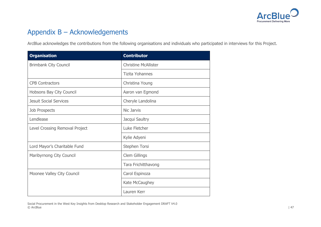

# Appendix B – Acknowledgements

ArcBlue acknowledges the contributions from the following organisations and individuals who participated in interviews for this Project.

| <b>Organisation</b>            | <b>Contributor</b>          |
|--------------------------------|-----------------------------|
| <b>Brimbank City Council</b>   | <b>Christine McAllister</b> |
|                                | Tizita Yohannes             |
| <b>CPB Contractors</b>         | Christina Young             |
| Hobsons Bay City Council       | Aaron van Egmond            |
| <b>Jesuit Social Services</b>  | Cheryle Landolina           |
| <b>Job Prospects</b>           | Nic Jarvis                  |
| Lendlease                      | Jacqui Saultry              |
| Level Crossing Removal Project | Luke Fletcher               |
|                                | Kylie Adyeni                |
| Lord Mayor's Charitable Fund   | Stephen Torsi               |
| Maribyrnong City Council       | Clem Gillings               |
|                                | Tara Frichitthavong         |
| Moonee Valley City Council     | Carol Espinoza              |
|                                | Kate McCaughey              |
|                                | Lauren Kerr                 |